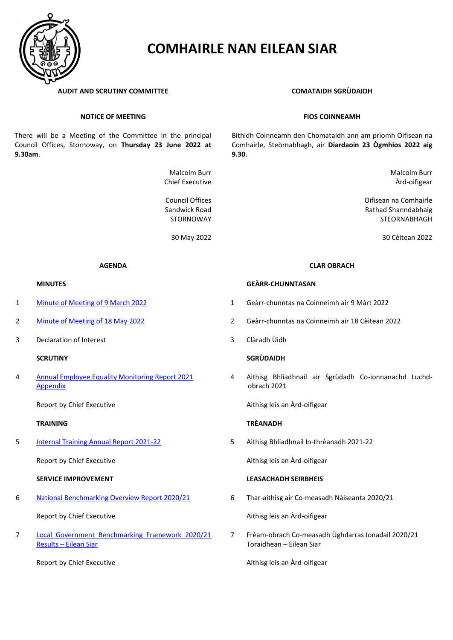

# **COMHAIRLE NAN EILEAN SIAR**

### **AUDIT AND SCRUTINY COMMITTEE COMATAIDH SGRÙDAIDH**

### **NOTICE OF MEETING**

There will be a Meeting of the Committee in the principal Council Offices, Stornoway, on **Thursday 23 June 2022 at 9.30am**.

> Malcolm Burr Chief Executive

Council Offices Sandwick Road STORNOWAY

- 
- 
- 3 Declaration of Interest 3 Clàradh Ùidh

4 [Annual Employee Equality Monitoring Report 2021](https://www.cne-siar.gov.uk:443/media/19610/D-4A-Annual-Employee-Equality-Monitoring-Report-2021.pdf-correctedByPAVE.pdf) **[Appendix](https://www.cne-siar.gov.uk:443/media/19610/D-4B-Appendix-Annual-Employee-Equality-Monitoring-Report-2021.pdf-correctedByPAVE.pdf)** 

Report by Chief Executive

5 [Internal Training Annual Report 2021-22](https://www.cne-siar.gov.uk:443/media/19610/E-5A-Internal-Training-Annual-Report-2021-22.pdf)

Report by Chief Executive

# **SERVICE IMPROVEMENT LEASACHADH SEIRBHEIS**

6 [National Benchmarking Overview Report 2020/21](https://www.cne-siar.gov.uk:443/media/19610/F-6A-National-Benchmarking-Overview-Report-2020-21.pdf-correctedByPAVE.pdf)

Report by Chief Executive

7 Local Government Benchmarking Framework 2020/21 Results – [Eilean Siar](https://www.cne-siar.gov.uk:443/media/19610/G-7A-Local-Government-Benchmarking-Framework-Results-2020-21-Eilean Siar.pdf-correctedByPAVE (1).pdf)

Report by Chief Executive

### **FIOS COINNEAMH**

Bithidh Coinneamh den Chomataidh ann am prìomh Oifisean na Comhairle, Steòrnabhagh, air **Diardaoin 23 Ògmhios 2022 aig 9.30.**

> Malcolm Burr Àrd-oifigear

Oifisean na Comhairle Rathad Shanndabhaig STEORNABHAGH

30 May 2022 30 Cèitean 2022

### **AGENDA CLAR OBRACH**

### **MINUTES GEÀRR-CHUNNTASAN**

- 1 [Minute of Meeting of](https://www.cne-siar.gov.uk:443/media/19610/A-1A-Minute-Audit-and-Scrutiny-Committee-9-March-2022.pdf-correctedByPAVE.pdf) 9 March 2022 1 Geàrr-chunntas na Coinneimh air 9 Màrt 2022
- 2 [Minute of Meeting of](https://www.cne-siar.gov.uk:443/media/19610/B-2A-Minute-Audit-and-Scrutiny-Committee-18-May-2022.pdf-correctedByPAVE.pdf) 18 May 2022 2 Geàrr-chunntas na Coinneimh air 18 Cèitean 2022
	-

### **SCRUTINY SGRÙDAIDH**

4 Aithisg Bhliadhnail air Sgrùdadh Co-ionnanachd Luchdobrach 2021

Aithisg leis an Àrd-oifigear

### **TRAINING TRÈANADH**

5 Aithisg Bhliadhnail In-thrèanadh 2021-22

Aithisg leis an Àrd-oifigear

6 Thar-aithisg air Co-measadh Nàiseanta 2020/21

Aithisg leis an Àrd-oifigear

7 Frèam-obrach Co-measadh Ùghdarras Ionadail 2020/21 Toraidhean – Eilean Siar

Aithisg leis an Àrd-oifigear